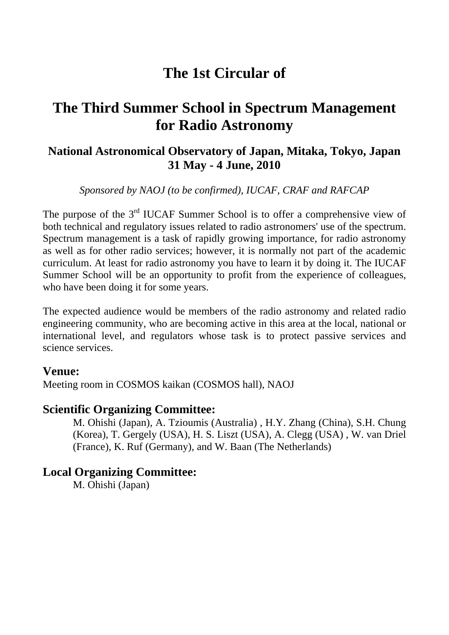# **The 1st Circular of**

# **The Third Summer School in Spectrum Management for Radio Astronomy**

# **National Astronomical Observatory of Japan, Mitaka, Tokyo, Japan 31 May - 4 June, 2010**

*Sponsored by NAOJ (to be confirmed), IUCAF, CRAF and RAFCAP* 

The purpose of the 3<sup>rd</sup> IUCAF Summer School is to offer a comprehensive view of both technical and regulatory issues related to radio astronomers' use of the spectrum. Spectrum management is a task of rapidly growing importance, for radio astronomy as well as for other radio services; however, it is normally not part of the academic curriculum. At least for radio astronomy you have to learn it by doing it. The IUCAF Summer School will be an opportunity to profit from the experience of colleagues, who have been doing it for some years.

The expected audience would be members of the radio astronomy and related radio engineering community, who are becoming active in this area at the local, national or international level, and regulators whose task is to protect passive services and science services.

### **Venue:**

Meeting room in COSMOS kaikan (COSMOS hall), NAOJ

## **Scientific Organizing Committee:**

M. Ohishi (Japan), A. Tzioumis (Australia) , H.Y. Zhang (China), S.H. Chung (Korea), T. Gergely (USA), H. S. Liszt (USA), A. Clegg (USA) , W. van Driel (France), K. Ruf (Germany), and W. Baan (The Netherlands)

# **Local Organizing Committee:**

M. Ohishi (Japan)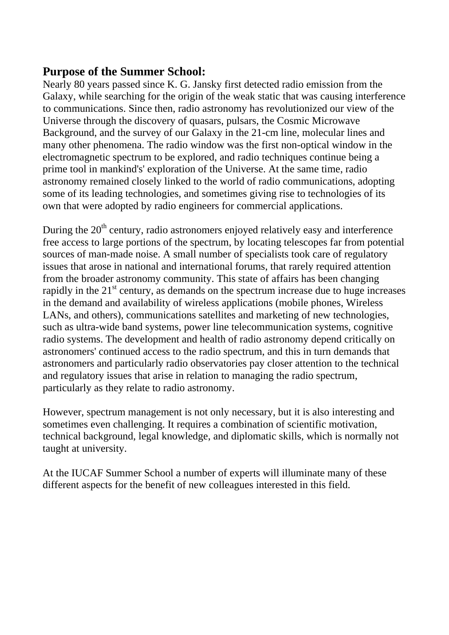### **Purpose of the Summer School:**

Nearly 80 years passed since K. G. Jansky first detected radio emission from the Galaxy, while searching for the origin of the weak static that was causing interference to communications. Since then, radio astronomy has revolutionized our view of the Universe through the discovery of quasars, pulsars, the Cosmic Microwave Background, and the survey of our Galaxy in the 21-cm line, molecular lines and many other phenomena. The radio window was the first non-optical window in the electromagnetic spectrum to be explored, and radio techniques continue being a prime tool in mankind's' exploration of the Universe. At the same time, radio astronomy remained closely linked to the world of radio communications, adopting some of its leading technologies, and sometimes giving rise to technologies of its own that were adopted by radio engineers for commercial applications.

During the  $20<sup>th</sup>$  century, radio astronomers enjoyed relatively easy and interference free access to large portions of the spectrum, by locating telescopes far from potential sources of man-made noise. A small number of specialists took care of regulatory issues that arose in national and international forums, that rarely required attention from the broader astronomy community. This state of affairs has been changing rapidly in the  $21<sup>st</sup>$  century, as demands on the spectrum increase due to huge increases in the demand and availability of wireless applications (mobile phones, Wireless LANs, and others), communications satellites and marketing of new technologies, such as ultra-wide band systems, power line telecommunication systems, cognitive radio systems. The development and health of radio astronomy depend critically on astronomers' continued access to the radio spectrum, and this in turn demands that astronomers and particularly radio observatories pay closer attention to the technical and regulatory issues that arise in relation to managing the radio spectrum, particularly as they relate to radio astronomy.

However, spectrum management is not only necessary, but it is also interesting and sometimes even challenging. It requires a combination of scientific motivation, technical background, legal knowledge, and diplomatic skills, which is normally not taught at university.

At the IUCAF Summer School a number of experts will illuminate many of these different aspects for the benefit of new colleagues interested in this field.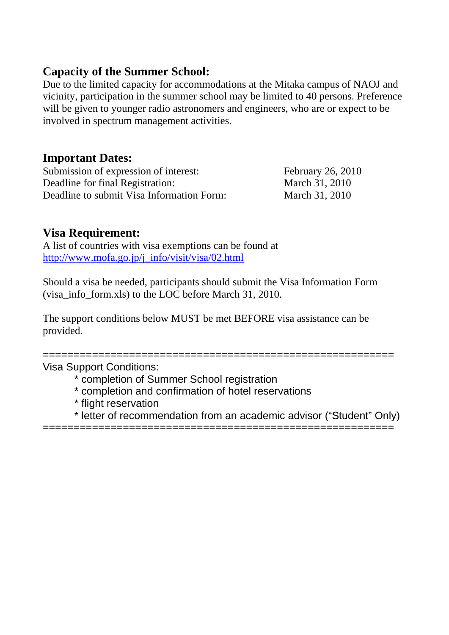# **Capacity of the Summer School:**

Due to the limited capacity for accommodations at the Mitaka campus of NAOJ and vicinity, participation in the summer school may be limited to 40 persons. Preference will be given to younger radio astronomers and engineers, who are or expect to be involved in spectrum management activities.

## **Important Dates:**

Submission of expression of interest: February 26, 2010 Deadline for final Registration: March 31, 2010 Deadline to submit Visa Information Form: March 31, 2010

# **Visa Requirement:**

A list of countries with visa exemptions can be found at [http://www.mofa.go.jp/j\\_info/visit/visa/02.html](http://www.mofa.go.jp/j_info/visit/visa/02.html)

Should a visa be needed, participants should submit the Visa Information Form (visa\_info\_form.xls) to the LOC before March 31, 2010.

The support conditions below MUST be met BEFORE visa assistance can be provided.

=========================================================

Visa Support Conditions:

- \* completion of Summer School registration
- \* completion and confirmation of hotel reservations
- \* flight reservation
- \* letter of recommendation from an academic advisor ("Student" Only)

=========================================================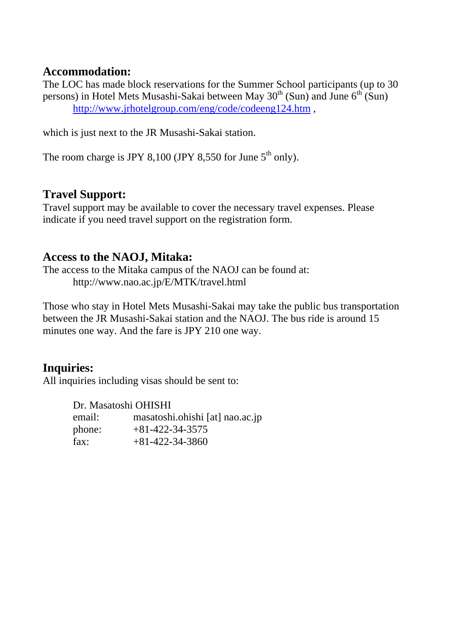### **Accommodation:**

The LOC has made block reservations for the Summer School participants (up to 30 persons) in Hotel Mets Musashi-Sakai between May  $30<sup>th</sup>$  (Sun) and June  $6<sup>th</sup>$  (Sun) <http://www.jrhotelgroup.com/eng/code/codeeng124.htm> ,

which is just next to the JR Musashi-Sakai station.

The room charge is JPY 8,100 (JPY 8,550 for June  $5<sup>th</sup>$  only).

# **Travel Support:**

Travel support may be available to cover the necessary travel expenses. Please indicate if you need travel support on the registration form.

### **Access to the NAOJ, Mitaka:**

The access to the Mitaka campus of the NAOJ can be found at: http://www.nao.ac.jp/E/MTK/travel.html

Those who stay in Hotel Mets Musashi-Sakai may take the public bus transportation between the JR Musashi-Sakai station and the NAOJ. The bus ride is around 15 minutes one way. And the fare is JPY 210 one way.

# **Inquiries:**

All inquiries including visas should be sent to:

Dr. Masatoshi OHISHI email: masatoshi.ohishi [at] nao.ac.jp phone: +81-422-34-3575  $\text{fax:} \quad +81-422-34-3860$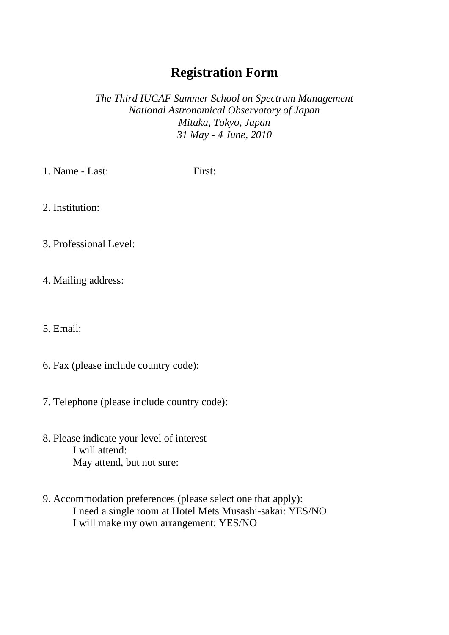# **Registration Form**

*The Third IUCAF Summer School on Spectrum Management National Astronomical Observatory of Japan Mitaka, Tokyo, Japan 31 May - 4 June, 2010* 

1. Name - Last: First:

2. Institution:

3. Professional Level:

4. Mailing address:

5. Email:

- 6. Fax (please include country code):
- 7. Telephone (please include country code):
- 8. Please indicate your level of interest I will attend: May attend, but not sure:
- 9. Accommodation preferences (please select one that apply): I need a single room at Hotel Mets Musashi-sakai: YES/NO I will make my own arrangement: YES/NO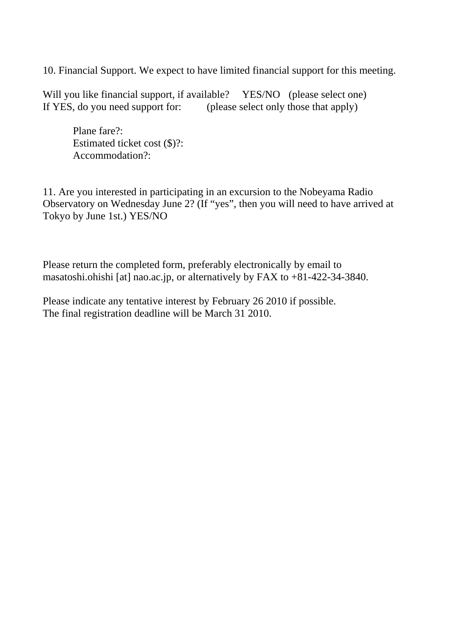10. Financial Support. We expect to have limited financial support for this meeting.

Will you like financial support, if available? YES/NO (please select one) If YES, do you need support for: (please select only those that apply)

 Plane fare?: Estimated ticket cost (\$)?: Accommodation?:

11. Are you interested in participating in an excursion to the Nobeyama Radio Observatory on Wednesday June 2? (If "yes", then you will need to have arrived at Tokyo by June 1st.) YES/NO

Please return the completed form, preferably electronically by email to masatoshi.ohishi [at] nao.ac.jp, or alternatively by FAX to +81-422-34-3840.

Please indicate any tentative interest by February 26 2010 if possible. The final registration deadline will be March 31 2010.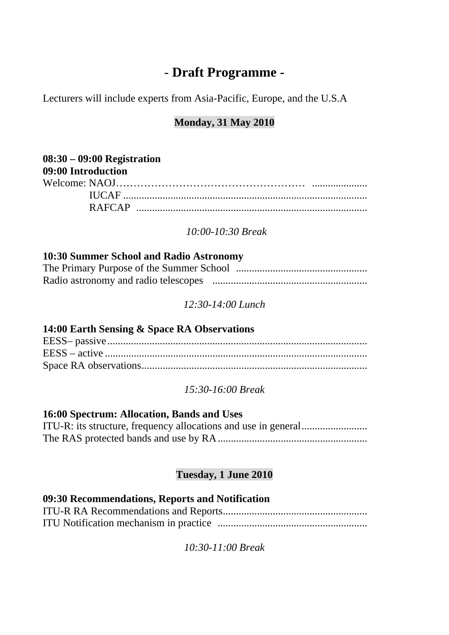# *-* **Draft Programme -**

Lecturers will include experts from Asia-Pacific, Europe, and the U.S.A

## **Monday, 31 May 2010**

| $08:30 - 09:00$ Registration |  |
|------------------------------|--|
| 09:00 Introduction           |  |
|                              |  |
|                              |  |
|                              |  |

 *10:00-10:30 Break* 

#### **10:30 Summer School and Radio Astronomy**

*12:30-14:00 Lunch* 

#### **14:00 Earth Sensing & Space RA Observations**

#### *15:30-16:00 Break*

#### **16:00 Spectrum: Allocation, Bands and Uses**

#### **Tuesday, 1 June 2010**

# **09:30 Recommendations, Reports and Notification**

*10:30-11:00 Break*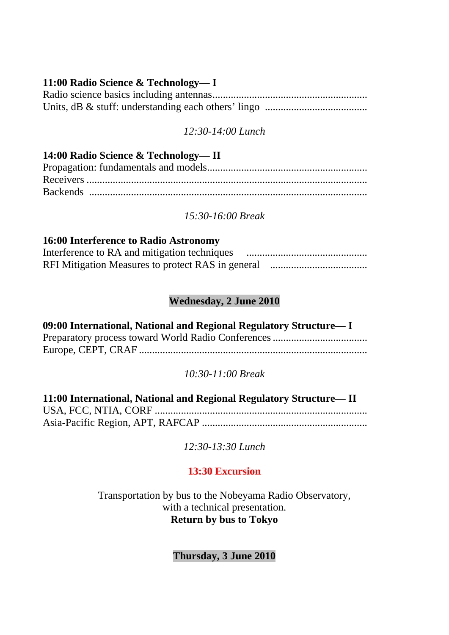#### **11:00 Radio Science & Technology— I**

### *12:30-14:00 Lunch*

| 14:00 Radio Science & Technology—II |
|-------------------------------------|
|                                     |
|                                     |
|                                     |

*15:30-16:00 Break* 

#### **16:00 Interference to Radio Astronomy**

| Interference to RA and mitigation techniques |  |
|----------------------------------------------|--|
|                                              |  |

### **Wednesday, 2 June 2010**

**09:00 International, National and Regional Regulatory Structure— I**  Preparatory process toward World Radio Conferences .................................... Europe, CEPT, CRAF .......................................................................................

### *10:30-11:00 Break*

| 11:00 International, National and Regional Regulatory Structure—II |
|--------------------------------------------------------------------|
|                                                                    |
|                                                                    |

*12:30-13:30 Lunch* 

## **13:30 Excursion**

Transportation by bus to the Nobeyama Radio Observatory, with a technical presentation. **Return by bus to Tokyo** 

**Thursday, 3 June 2010**